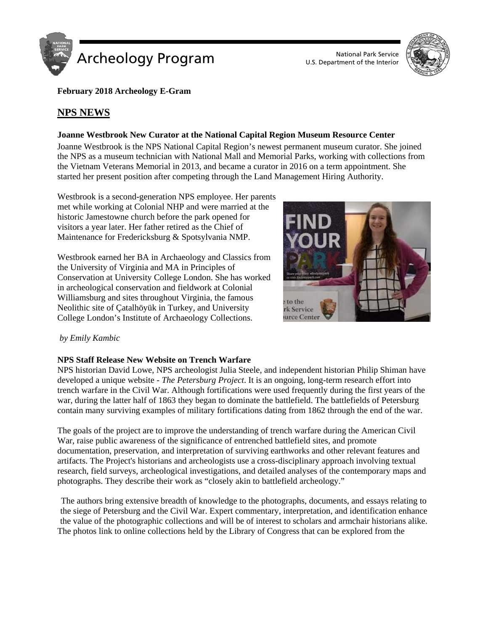

U.S. Department of the Interior



**February 2018 Archeology E-Gram**

# **NPS NEWS**

## **Joanne Westbrook New Curator at the National Capital Region Museum Resource Center**

Joanne Westbrook is the NPS National Capital Region's newest permanent museum curator. She joined the NPS as a museum technician with National Mall and Memorial Parks, working with collections from the Vietnam Veterans Memorial in 2013, and became a curator in 2016 on a term appointment. She started her present position after competing through the Land Management Hiring Authority.

Westbrook is a second-generation NPS employee. Her parents met while working at Colonial NHP and were married at the historic Jamestowne church before the park opened for visitors a year later. Her father retired as the Chief of Maintenance for Fredericksburg & Spotsylvania NMP.

Westbrook earned her BA in Archaeology and Classics from the University of Virginia and MA in Principles of Conservation at University College London. She has worked in archeological conservation and fieldwork at Colonial Williamsburg and sites throughout Virginia, the famous Neolithic site of Çatalhöyük in Turkey, and University College London's Institute of Archaeology Collections.



## *by Emily Kambic*

## **NPS Staff Release New Website on Trench Warfare**

NPS historian David Lowe, NPS archeologist Julia Steele, and independent historian Philip Shiman have developed a unique website - *The Petersburg Project*. It is an ongoing, long-term research effort into trench warfare in the Civil War. Although fortifications were used frequently during the first years of the war, during the latter half of 1863 they began to dominate the battlefield. The battlefields of Petersburg contain many surviving examples of military fortifications dating from 1862 through the end of the war.

The goals of the project are to improve the understanding of trench warfare during the American Civil War, raise public awareness of the significance of entrenched battlefield sites, and promote documentation, preservation, and interpretation of surviving earthworks and other relevant features and artifacts. The Project's historians and archeologists use a cross-disciplinary approach involving textual research, field surveys, archeological investigations, and detailed analyses of the contemporary maps and photographs. They describe their work as "closely akin to battlefield archeology."

The authors bring extensive breadth of knowledge to the photographs, documents, and essays relating to the siege of Petersburg and the Civil War. Expert commentary, interpretation, and identification enhance the value of the photographic collections and will be of interest to scholars and armchair historians alike. The photos link to online collections held by the Library of Congress that can be explored from the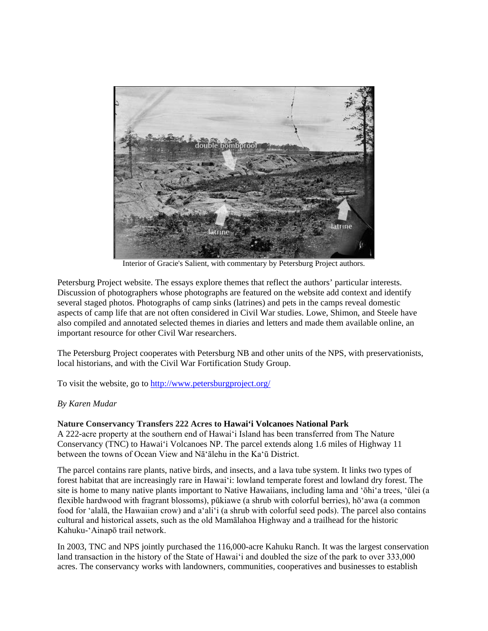

Interior of Gracie's Salient, with commentary by Petersburg Project authors.

Petersburg Project website. The essays explore themes that reflect the authors' particular interests. Discussion of photographers whose photographs are featured on the website add context and identify several staged photos. Photographs of camp sinks (latrines) and pets in the camps reveal domestic aspects of camp life that are not often considered in Civil War studies. Lowe, Shimon, and Steele have also compiled and annotated selected themes in diaries and letters and made them available online, an important resource for other Civil War researchers.

The Petersburg Project cooperates with Petersburg NB and other units of the NPS, with preservationists, local historians, and with the Civil War Fortification Study Group.

To visit the website, go to<http://www.petersburgproject.org/>

## *By Karen Mudar*

## **Nature Conservancy Transfers 222 Acres to Hawai'i Volcanoes National Park**

A 222-acre property at the southern end of Hawaiʻi Island has been transferred from The Nature Conservancy (TNC) to Hawai'i Volcanoes NP. The parcel extends along 1.6 miles of Highway 11 between the towns of Ocean View and Nāʻālehu in the Kaʻū District.

The parcel contains rare plants, native birds, and insects, and a lava tube system. It links two types of forest habitat that are increasingly rare in Hawaiʻi: lowland temperate forest and lowland dry forest. The site is home to many native plants important to Native Hawaiians, including lama and 'ōhiʻa trees, ʻūlei (a flexible hardwood with fragrant blossoms), pūkiawe (a shrub with colorful berries), hō'awa (a common food for ʻalalā, the Hawaiian crow) and aʻaliʻi (a shrub with colorful seed pods). The parcel also contains cultural and historical assets, such as the old Mamālahoa Highway and a trailhead for the historic Kahuku-ʻAinapō trail network.

In 2003, TNC and NPS jointly purchased the 116,000-acre Kahuku Ranch. It was the largest conservation land transaction in the history of the State of Hawaiʻi and doubled the size of the park to over 333,000 acres. The conservancy works with landowners, communities, cooperatives and businesses to establish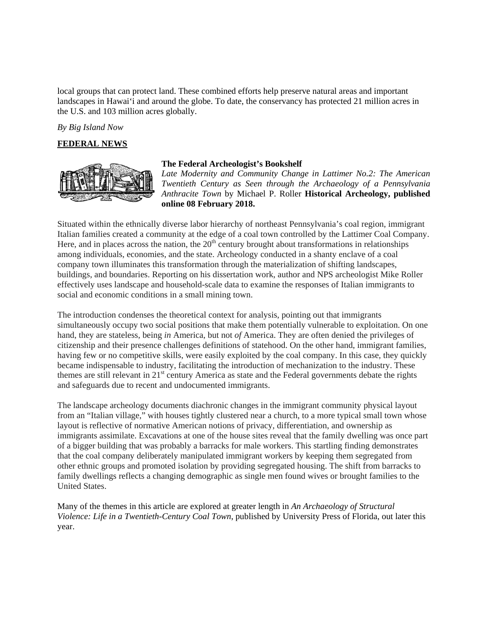local groups that can protect land. These combined efforts help preserve natural areas and important landscapes in Hawai'i and around the globe. To date, the conservancy has protected 21 million acres in the U.S. and 103 million acres globally.

*By Big Island Now*

#### **FEDERAL NEWS**



### **The Federal Archeologist's Bookshelf**

*Late Modernity and Community Change in Lattimer No.2: The American Twentieth Century as Seen through the Archaeology of a Pennsylvania Anthracite Town* by Michael P. Roller **Historical Archeology, published online 08 February 2018.**

Situated within the ethnically diverse labor hierarchy of northeast Pennsylvania's coal region, immigrant Italian families created a community at the edge of a coal town controlled by the Lattimer Coal Company. Here, and in places across the nation, the  $20<sup>th</sup>$  century brought about transformations in relationships among individuals, economies, and the state. Archeology conducted in a shanty enclave of a coal company town illuminates this transformation through the materialization of shifting landscapes, buildings, and boundaries. Reporting on his dissertation work, author and NPS archeologist Mike Roller effectively uses landscape and household-scale data to examine the responses of Italian immigrants to social and economic conditions in a small mining town.

The introduction condenses the theoretical context for analysis, pointing out that immigrants simultaneously occupy two social positions that make them potentially vulnerable to exploitation. On one hand, they are stateless, being *in* America, but not *of* America. They are often denied the privileges of citizenship and their presence challenges definitions of statehood. On the other hand, immigrant families, having few or no competitive skills, were easily exploited by the coal company. In this case, they quickly became indispensable to industry, facilitating the introduction of mechanization to the industry. These themes are still relevant in 21<sup>st</sup> century America as state and the Federal governments debate the rights and safeguards due to recent and undocumented immigrants.

The landscape archeology documents diachronic changes in the immigrant community physical layout from an "Italian village," with houses tightly clustered near a church, to a more typical small town whose layout is reflective of normative American notions of privacy, differentiation, and ownership as immigrants assimilate. Excavations at one of the house sites reveal that the family dwelling was once part of a bigger building that was probably a barracks for male workers. This startling finding demonstrates that the coal company deliberately manipulated immigrant workers by keeping them segregated from other ethnic groups and promoted isolation by providing segregated housing. The shift from barracks to family dwellings reflects a changing demographic as single men found wives or brought families to the United States.

Many of the themes in this article are explored at greater length in *An Archaeology of Structural Violence: Life in a Twentieth-Century Coal Town*, published by University Press of Florida, out later this year.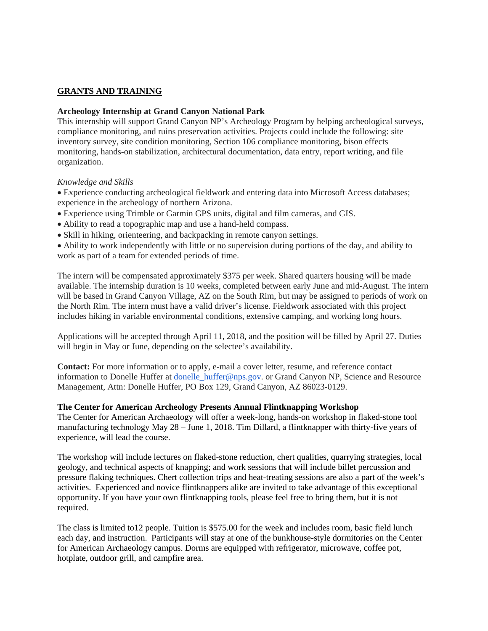## **GRANTS AND TRAINING**

### **Archeology Internship at Grand Canyon National Park**

This internship will support Grand Canyon NP's Archeology Program by helping archeological surveys, compliance monitoring, and ruins preservation activities. Projects could include the following: site inventory survey, site condition monitoring, Section 106 compliance monitoring, bison effects monitoring, hands-on stabilization, architectural documentation, data entry, report writing, and file organization.

### *Knowledge and Skills*

• Experience conducting archeological fieldwork and entering data into Microsoft Access databases; experience in the archeology of northern Arizona.

- Experience using Trimble or Garmin GPS units, digital and film cameras, and GIS.
- Ability to read a topographic map and use a hand-held compass.
- Skill in hiking, orienteering, and backpacking in remote canyon settings.

• Ability to work independently with little or no supervision during portions of the day, and ability to work as part of a team for extended periods of time.

The intern will be compensated approximately \$375 per week. Shared quarters housing will be made available. The internship duration is 10 weeks, completed between early June and mid-August. The intern will be based in Grand Canyon Village, AZ on the South Rim, but may be assigned to periods of work on the North Rim. The intern must have a valid driver's license. Fieldwork associated with this project includes hiking in variable environmental conditions, extensive camping, and working long hours.

Applications will be accepted through April 11, 2018, and the position will be filled by April 27. Duties will begin in May or June, depending on the selectee's availability.

**Contact:** For more information or to apply, e-mail a cover letter, resume, and reference contact information to Donelle Huffer at donelle huffer@nps.gov. or Grand Canyon NP, Science and Resource Management, Attn: Donelle Huffer, PO Box 129, Grand Canyon, AZ 86023-0129.

### **The Center for American Archeology Presents Annual Flintknapping Workshop**

The Center for American Archaeology will offer a week-long, hands-on workshop in flaked-stone tool manufacturing technology May 28 – June 1, 2018. Tim Dillard, a flintknapper with thirty-five years of experience, will lead the course.

The workshop will include lectures on flaked-stone reduction, chert qualities, quarrying strategies, local geology, and technical aspects of knapping; and work sessions that will include billet percussion and pressure flaking techniques. Chert collection trips and heat-treating sessions are also a part of the week's activities. Experienced and novice flintknappers alike are invited to take advantage of this exceptional opportunity. If you have your own flintknapping tools, please feel free to bring them, but it is not required.

The class is limited to12 people. Tuition is \$575.00 for the week and includes room, basic field lunch each day, and instruction. Participants will stay at one of the bunkhouse-style dormitories on the Center for American Archaeology campus. Dorms are equipped with refrigerator, microwave, coffee pot, hotplate, outdoor grill, and campfire area.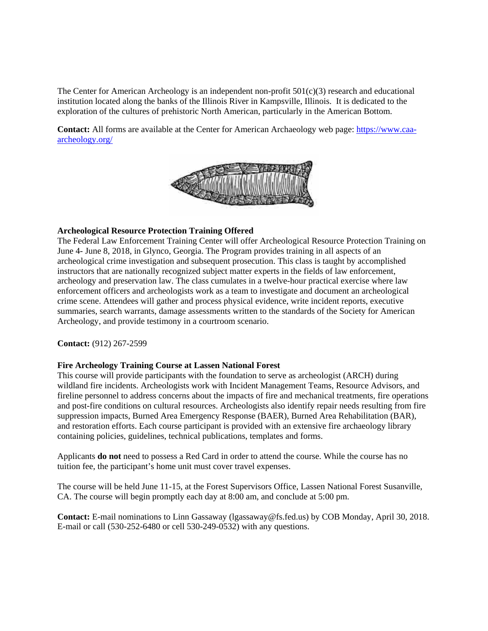The Center for American Archeology is an independent non-profit  $501(c)(3)$  research and educational institution located along the banks of the Illinois River in Kampsville, Illinois. It is dedicated to the exploration of the cultures of prehistoric North American, particularly in the American Bottom.

**Contact:** All forms are available at the Center for American Archaeology web page: [https://www.caa](https://www.caa-archeology.org/)[archeology.org/](https://www.caa-archeology.org/)



### **Archeological Resource Protection Training Offered**

The Federal Law Enforcement Training Center will offer Archeological Resource Protection Training on June 4- June 8, 2018, in Glynco, Georgia. The Program provides training in all aspects of an archeological crime investigation and subsequent prosecution. This class is taught by accomplished instructors that are nationally recognized subject matter experts in the fields of law enforcement, archeology and preservation law. The class cumulates in a twelve-hour practical exercise where law enforcement officers and archeologists work as a team to investigate and document an archeological crime scene. Attendees will gather and process physical evidence, write incident reports, executive summaries, search warrants, damage assessments written to the standards of the Society for American Archeology, and provide testimony in a courtroom scenario.

**Contact:** (912) 267-2599

#### **Fire Archeology Training Course at Lassen National Forest**

This course will provide participants with the foundation to serve as archeologist (ARCH) during wildland fire incidents. Archeologists work with Incident Management Teams, Resource Advisors, and fireline personnel to address concerns about the impacts of fire and mechanical treatments, fire operations and post-fire conditions on cultural resources. Archeologists also identify repair needs resulting from fire suppression impacts, Burned Area Emergency Response (BAER), Burned Area Rehabilitation (BAR), and restoration efforts. Each course participant is provided with an extensive fire archaeology library containing policies, guidelines, technical publications, templates and forms.

Applicants **do not** need to possess a Red Card in order to attend the course. While the course has no tuition fee, the participant's home unit must cover travel expenses.

The course will be held June 11-15, at the Forest Supervisors Office, Lassen National Forest Susanville, CA. The course will begin promptly each day at 8:00 am, and conclude at 5:00 pm.

**Contact:** E-mail nominations to Linn Gassaway (lgassaway@fs.fed.us) by COB Monday, April 30, 2018. E-mail or call (530-252-6480 or cell 530-249-0532) with any questions.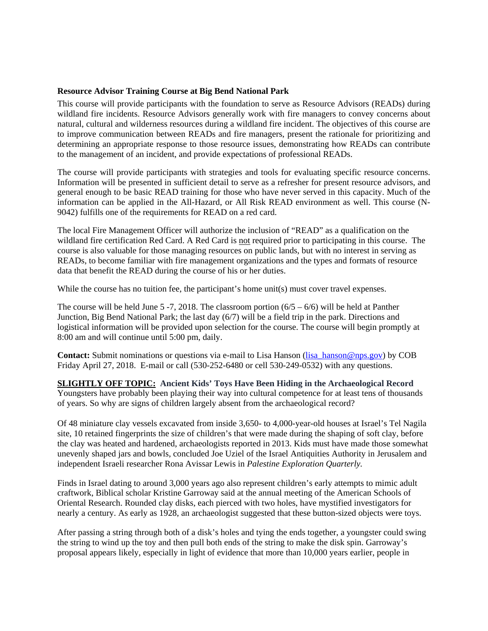## **Resource Advisor Training Course at Big Bend National Park**

This course will provide participants with the foundation to serve as Resource Advisors (READs) during wildland fire incidents. Resource Advisors generally work with fire managers to convey concerns about natural, cultural and wilderness resources during a wildland fire incident. The objectives of this course are to improve communication between READs and fire managers, present the rationale for prioritizing and determining an appropriate response to those resource issues, demonstrating how READs can contribute to the management of an incident, and provide expectations of professional READs.

The course will provide participants with strategies and tools for evaluating specific resource concerns. Information will be presented in sufficient detail to serve as a refresher for present resource advisors, and general enough to be basic READ training for those who have never served in this capacity. Much of the information can be applied in the All-Hazard, or All Risk READ environment as well. This course (N-9042) fulfills one of the requirements for READ on a red card.

The local Fire Management Officer will authorize the inclusion of "READ" as a qualification on the wildland fire certification Red Card. A Red Card is not required prior to participating in this course. The course is also valuable for those managing resources on public lands, but with no interest in serving as READs, to become familiar with fire management organizations and the types and formats of resource data that benefit the READ during the course of his or her duties.

While the course has no tuition fee, the participant's home unit(s) must cover travel expenses.

The course will be held June 5 -7, 2018. The classroom portion  $(6/5 - 6/6)$  will be held at Panther Junction, Big Bend National Park; the last day (6/7) will be a field trip in the park. Directions and logistical information will be provided upon selection for the course. The course will begin promptly at 8:00 am and will continue until 5:00 pm, daily.

**Contact:** Submit nominations or questions via e-mail to Lisa Hanson (lisa hanson @nps.gov) by COB Friday April 27, 2018. E-mail or call (530-252-6480 or cell 530-249-0532) with any questions.

**SLIGHTLY OFF TOPIC: Ancient Kids' Toys Have Been Hiding in the Archaeological Record** Youngsters have probably been playing their way into cultural competence for at least tens of thousands of years. So why are signs of children largely absent from the archaeological record?

Of 48 miniature clay vessels excavated from inside 3,650- to 4,000-year-old houses at Israel's Tel Nagila site, 10 retained fingerprints the size of children's that were made during the shaping of soft clay, before the clay was heated and hardened, archaeologists reported in 2013. Kids must have made those somewhat unevenly shaped jars and bowls, concluded Joe Uziel of the Israel Antiquities Authority in Jerusalem and independent Israeli researcher Rona Avissar Lewis in *Palestine Exploration Quarterly.*

Finds in Israel dating to around 3,000 years ago also represent children's early attempts to mimic adult craftwork, Biblical scholar Kristine Garroway said at the annual meeting of the American Schools of Oriental Research. Rounded clay disks, each pierced with two holes, have mystified investigators for nearly a century. As early as 1928, an archaeologist suggested that these button-sized objects were toys.

After passing a string through both of a disk's holes and tying the ends together, a youngster could swing the string to wind up the toy and then pull both ends of the string to make the disk spin. Garroway's proposal appears likely, especially in light of evidence that more than 10,000 years earlier, people in